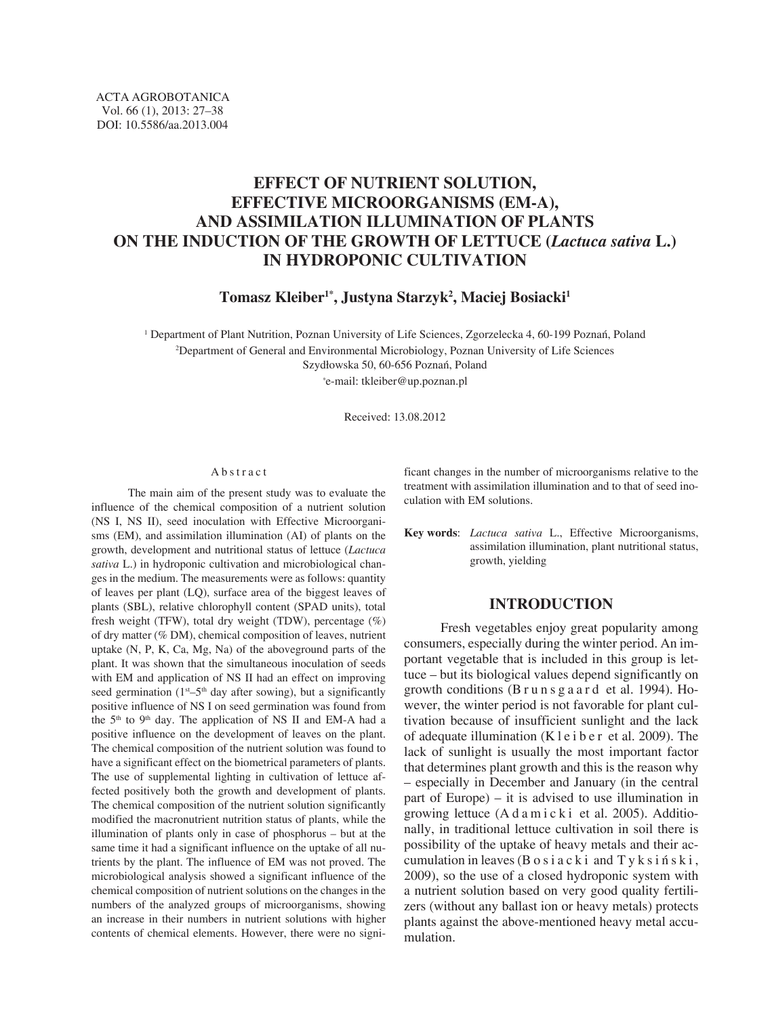# **EFFECT OF NUTRIENT SOLUTION, EFFECTIVE MICROORGANISMS (EM-A), AND ASSIMILATION ILLUMINATION OF PLANTS ON THE INDUCTION OF THE GROWTH OF LETTUCE (***Lactuca sativa* **L.) IN HYDROPONIC CULTIVATION**

**Tomasz Kleiber1\*, Justyna Starzyk2 , Maciej Bosiacki1**

1 Department of Plant Nutrition, Poznan University of Life Sciences, Zgorzelecka 4, 60-199 Poznań, Poland 2 Department of General and Environmental Microbiology, Poznan University of Life Sciences Szydłowska 50, 60-656 Poznań, Poland *\**e-mail: tkleiber@up.poznan.pl

Received: 13.08.2012

### Abstract

The main aim of the present study was to evaluate the influence of the chemical composition of a nutrient solution (NS I, NS II), seed inoculation with Effective Microorganisms (EM), and assimilation illumination (AI) of plants on the growth, development and nutritional status of lettuce (*Lactuca sativa* L.) in hydroponic cultivation and microbiological changes in the medium. The measurements were as follows: quantity of leaves per plant (LQ), surface area of the biggest leaves of plants (SBL), relative chlorophyll content (SPAD units), total fresh weight (TFW), total dry weight (TDW), percentage (%) of dry matter (% DM), chemical composition of leaves, nutrient uptake (N, P, K, Ca, Mg, Na) of the aboveground parts of the plant. It was shown that the simultaneous inoculation of seeds with EM and application of NS II had an effect on improving seed germination ( $1^{st}$ – $5^{th}$  day after sowing), but a significantly positive influence of NS I on seed germination was found from the 5<sup>th</sup> to 9<sup>th</sup> day. The application of NS II and EM-A had a positive influence on the development of leaves on the plant. The chemical composition of the nutrient solution was found to have a significant effect on the biometrical parameters of plants. The use of supplemental lighting in cultivation of lettuce affected positively both the growth and development of plants. The chemical composition of the nutrient solution significantly modified the macronutrient nutrition status of plants, while the illumination of plants only in case of phosphorus – but at the same time it had a significant influence on the uptake of all nutrients by the plant. The influence of EM was not proved. The microbiological analysis showed a significant influence of the chemical composition of nutrient solutions on the changes in the numbers of the analyzed groups of microorganisms, showing an increase in their numbers in nutrient solutions with higher contents of chemical elements. However, there were no significant changes in the number of microorganisms relative to the treatment with assimilation illumination and to that of seed inoculation with EM solutions.

**Key words**: *Lactuca sativa* L., Effective Microorganisms, assimilation illumination, plant nutritional status, growth, yielding

# **INTRODUCTION**

Fresh vegetables enjoy great popularity among consumers, especially during the winter period. An important vegetable that is included in this group is lettuce – but its biological values depend significantly on growth conditions (B r u n s g a a r d et al. 1994). However, the winter period is not favorable for plant cultivation because of insufficient sunlight and the lack of adequate illumination (K l e i b e r et al. 2009). The lack of sunlight is usually the most important factor that determines plant growth and this is the reason why – especially in December and January (in the central part of Europe) – it is advised to use illumination in growing lettuce  $(A \, d \, a \, m \, i \, c \, k \, i \, c \, d \, d \, d \, c \, d \, c)$ . Additionally, in traditional lettuce cultivation in soil there is possibility of the uptake of heavy metals and their accumulation in leaves ( $B \circ$ siacki and Tyksiński, 2009), so the use of a closed hydroponic system with a nutrient solution based on very good quality fertilizers (without any ballast ion or heavy metals) protects plants against the above-mentioned heavy metal accumulation.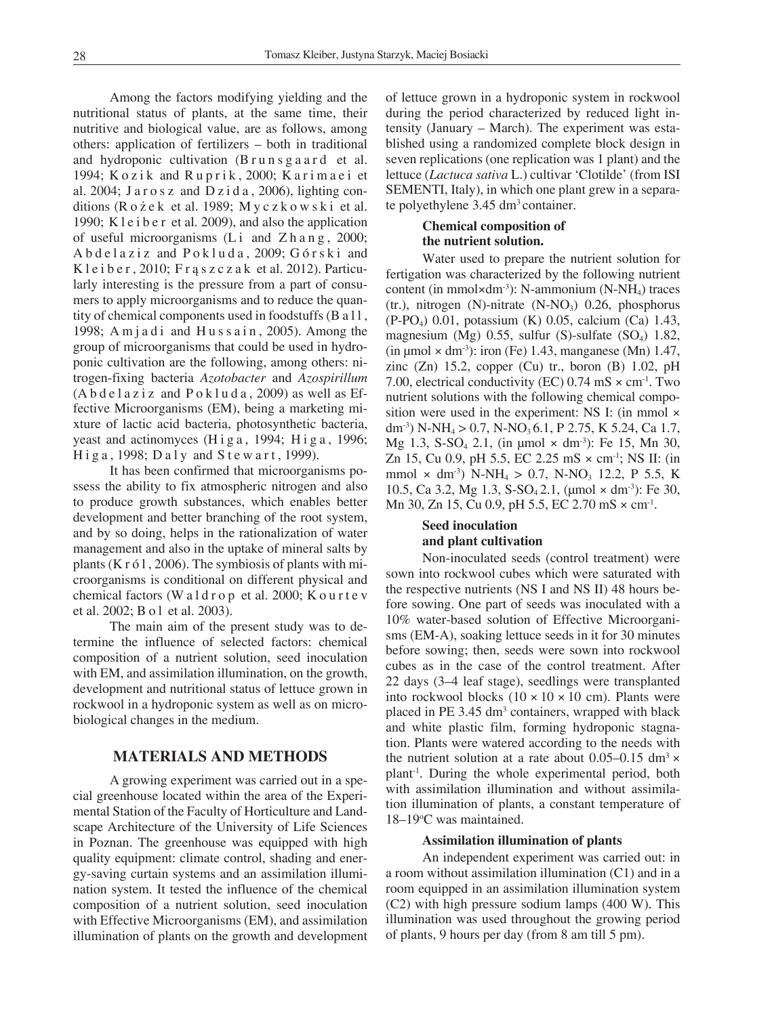Among the factors modifying yielding and the nutritional status of plants, at the same time, their nutritive and biological value, are as follows, among others: application of fertilizers – both in traditional and hydroponic cultivation (B r u n s g a a r d et al. 1994; Kozik and Ruprik, 2000; Karimaei et al. 2004; Jarosz and Dzida, 2006), lighting conditions (R o *ż* e k et al. 1989; M y c z k o w s k i et al. 1990; K l e i b e r et al. 2009), and also the application of useful microorganisms (Li and Z h a n g, 2000; Abdelaziz and Pokluda, 2009; Górski and K l e i b e r, 2010; F r a s z c z a k et al. 2012). Particularly interesting is the pressure from a part of consumers to apply microorganisms and to reduce the quantity of chemical components used in foodstuffs (B a l l, 1998; A m j a d i and  $H$  u s s a i n, 2005). Among the group of microorganisms that could be used in hydroponic cultivation are the following, among others: nitrogen-fixing bacteria *Azotobacter* and *Azospirillum*  $(A b d e 1 a z i z and P o k 1 u d a, 2009)$  as well as Effective Microorganisms (EM), being a marketing mixture of lactic acid bacteria, photosynthetic bacteria, yeast and actinomyces  $(H \text{ i } g a$ , 1994;  $H \text{ i } g a$ , 1996;  $H$ iga, 1998; Daly and Stewart, 1999).

It has been confirmed that microorganisms possess the ability to fix atmospheric nitrogen and also to produce growth substances, which enables better development and better branching of the root system, and by so doing, helps in the rationalization of water management and also in the uptake of mineral salts by plants ( $K r 61$ , 2006). The symbiosis of plants with microorganisms is conditional on different physical and chemical factors (W a  $1 d r o p$  et al. 2000; K our t e v et al. 2002; B o l et al. 2003).

The main aim of the present study was to determine the influence of selected factors: chemical composition of a nutrient solution, seed inoculation with EM, and assimilation illumination, on the growth, development and nutritional status of lettuce grown in rockwool in a hydroponic system as well as on microbiological changes in the medium.

# **MATERIALS AND METHODS**

A growing experiment was carried out in a special greenhouse located within the area of the Experimental Station of the Faculty of Horticulture and Landscape Architecture of the University of Life Sciences in Poznan. The greenhouse was equipped with high quality equipment: climate control, shading and energy-saving curtain systems and an assimilation illumination system. It tested the influence of the chemical composition of a nutrient solution, seed inoculation with Effective Microorganisms (EM), and assimilation illumination of plants on the growth and development of lettuce grown in a hydroponic system in rockwool during the period characterized by reduced light intensity (January – March). The experiment was established using a randomized complete block design in seven replications (one replication was 1 plant) and the lettuce (*Lactuca sativa* L.) cultivar 'Clotilde' (from ISI SEMENTI, Italy), in which one plant grew in a separate polyethylene 3.45 dm<sup>3</sup> container.

# **Chemical composition of the nutrient solution.**

Water used to prepare the nutrient solution for fertigation was characterized by the following nutrient content (in mmol $\times$ dm<sup>-3</sup>): N-ammonium (N-NH<sub>4</sub>) traces (tr.), nitrogen (N)-nitrate  $(N-NO<sub>3</sub>)$  0.26, phosphorus (P-PO4) 0.01, potassium (K) 0.05, calcium (Ca) 1.43, magnesium (Mg)  $0.55$ , sulfur (S)-sulfate (SO<sub>4</sub>) 1.82, (in  $\mu$ mol × dm<sup>-3</sup>): iron (Fe) 1.43, manganese (Mn) 1.47, zinc (Zn) 15.2, copper (Cu) tr., boron (B) 1.02, pH 7.00, electrical conductivity (EC)  $0.74 \text{ mS} \times \text{cm}^{-1}$ . Two nutrient solutions with the following chemical composition were used in the experiment: NS I: (in mmol × dm<sup>-3</sup>) N-NH<sub>4</sub> > 0.7, N-NO<sub>3</sub> 6.1, P 2.75, K 5.24, Ca 1.7, Mg 1.3, S-SO<sub>4</sub> 2.1, (in umol  $\times$  dm<sup>-3</sup>): Fe 15, Mn 30, Zn 15, Cu 0.9, pH 5.5, EC 2.25 mS × cm-1; NS II: (in mmol  $\times$  dm<sup>-3</sup>) N-NH<sub>4</sub>  $>$  0.7, N-NO<sub>3</sub> 12.2, P 5.5, K 10.5, Ca 3.2, Mg 1.3, S-SO<sub>4</sub> 2.1, ( $\mu$ mol × dm<sup>-3</sup>): Fe 30, Mn 30, Zn 15, Cu 0.9, pH 5.5, EC 2.70 mS  $\times$  cm<sup>-1</sup>.

# **Seed inoculation and plant cultivation**

Non-inoculated seeds (control treatment) were sown into rockwool cubes which were saturated with the respective nutrients (NS I and NS II) 48 hours before sowing. One part of seeds was inoculated with a 10% water-based solution of Effective Microorganisms (EM-A), soaking lettuce seeds in it for 30 minutes before sowing; then, seeds were sown into rockwool cubes as in the case of the control treatment. After 22 days (3–4 leaf stage), seedlings were transplanted into rockwool blocks  $(10 \times 10 \times 10 \text{ cm})$ . Plants were placed in PE 3.45 dm<sup>3</sup> containers, wrapped with black and white plastic film, forming hydroponic stagnation. Plants were watered according to the needs with the nutrient solution at a rate about 0.05–0.15 dm<sup>3</sup>  $\times$ plant-1. During the whole experimental period, both with assimilation illumination and without assimilation illumination of plants, a constant temperature of 18-19°C was maintained.

### **Assimilation illumination of plants**

An independent experiment was carried out: in a room without assimilation illumination (C1) and in a room equipped in an assimilation illumination system (C2) with high pressure sodium lamps (400 W). This illumination was used throughout the growing period of plants, 9 hours per day (from 8 am till 5 pm).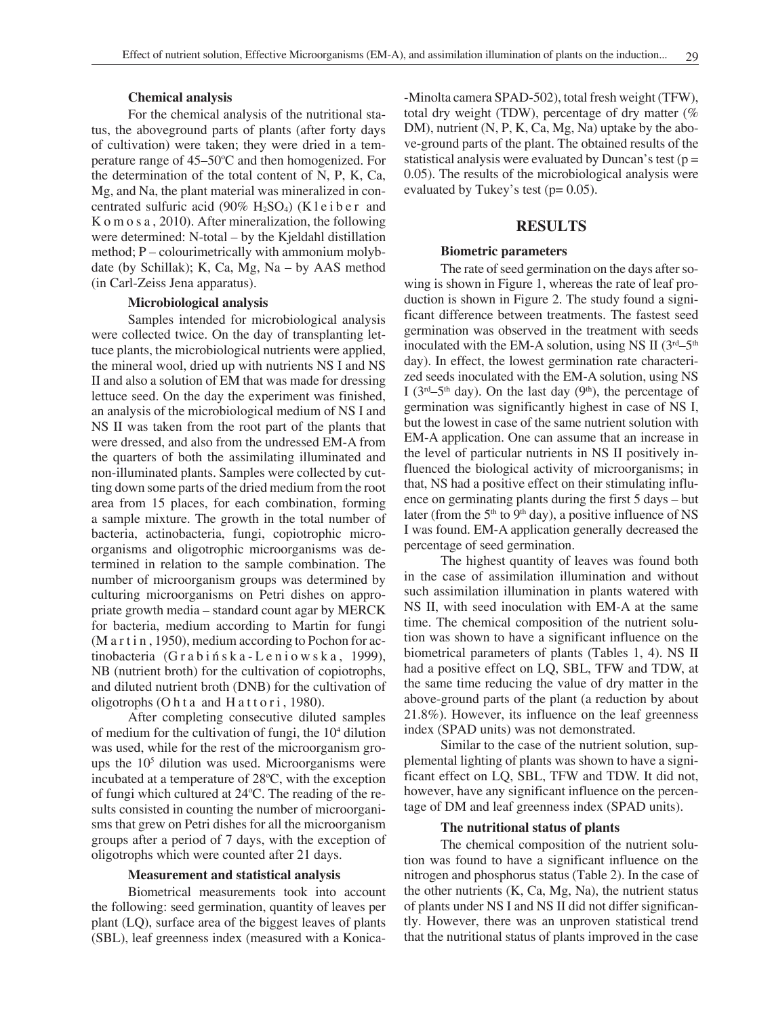### **Chemical analysis**

For the chemical analysis of the nutritional status, the aboveground parts of plants (after forty days of cultivation) were taken; they were dried in a temperature range of 45–50°C and then homogenized. For the determination of the total content of N, P, K, Ca, Mg, and Na, the plant material was mineralized in concentrated sulfuric acid (90%  $H_2SO_4$ ) (K l e i b e r and K o m o s a , 2010). After mineralization, the following were determined: N-total – by the Kjeldahl distillation method; P – colourimetrically with ammonium molybdate (by Schillak); K, Ca, Mg, Na – by AAS method (in Carl-Zeiss Jena apparatus).

#### **Microbiological analysis**

Samples intended for microbiological analysis were collected twice. On the day of transplanting lettuce plants, the microbiological nutrients were applied, the mineral wool, dried up with nutrients NS I and NS II and also a solution of EM that was made for dressing lettuce seed. On the day the experiment was finished, an analysis of the microbiological medium of NS I and NS II was taken from the root part of the plants that were dressed, and also from the undressed EM-A from the quarters of both the assimilating illuminated and non-illuminated plants. Samples were collected by cutting down some parts of the dried medium from the root area from 15 places, for each combination, forming a sample mixture. The growth in the total number of bacteria, actinobacteria, fungi, copiotrophic microorganisms and oligotrophic microorganisms was determined in relation to the sample combination. The number of microorganism groups was determined by culturing microorganisms on Petri dishes on appropriate growth media – standard count agar by MERCK for bacteria, medium according to Martin for fungi (M a r t i n, 1950), medium according to Pochon for ac $tinobacteria$   $(Grabifnska-Leniowska, 1999)$ , NB (nutrient broth) for the cultivation of copiotrophs, and diluted nutrient broth (DNB) for the cultivation of oligotrophs (Ohta and Hattori, 1980).

After completing consecutive diluted samples of medium for the cultivation of fungi, the 104 dilution was used, while for the rest of the microorganism groups the  $10<sup>5</sup>$  dilution was used. Microorganisms were incubated at a temperature of 28°C, with the exception of fungi which cultured at 24°C. The reading of the results consisted in counting the number of microorganisms that grew on Petri dishes for all the microorganism groups after a period of 7 days, with the exception of oligotrophs which were counted after 21 days.

#### **Measurement and statistical analysis**

Biometrical measurements took into account the following: seed germination, quantity of leaves per plant (LQ), surface area of the biggest leaves of plants (SBL), leaf greenness index (measured with a Konica-Minolta camera SPAD-502), total fresh weight (TFW), total dry weight (TDW), percentage of dry matter (% DM), nutrient (N, P, K, Ca, Mg, Na) uptake by the above-ground parts of the plant. The obtained results of the statistical analysis were evaluated by Duncan's test ( $p =$ 0.05). The results of the microbiological analysis were evaluated by Tukey's test ( $p= 0.05$ ).

### **RESULTS**

#### **Biometric parameters**

The rate of seed germination on the days after sowing is shown in Figure 1, whereas the rate of leaf production is shown in Figure 2. The study found a significant difference between treatments. The fastest seed germination was observed in the treatment with seeds inoculated with the EM-A solution, using NS II  $(3<sup>rd</sup>-5<sup>th</sup>)$ day). In effect, the lowest germination rate characterized seeds inoculated with the EM-A solution, using NS I ( $3<sup>rd</sup>-5<sup>th</sup>$  day). On the last day ( $9<sup>th</sup>$ ), the percentage of germination was significantly highest in case of NS I, but the lowest in case of the same nutrient solution with EM-A application. One can assume that an increase in the level of particular nutrients in NS II positively influenced the biological activity of microorganisms; in that, NS had a positive effect on their stimulating influence on germinating plants during the first 5 days – but later (from the  $5<sup>th</sup>$  to  $9<sup>th</sup>$  day), a positive influence of NS I was found. EM-A application generally decreased the percentage of seed germination.

The highest quantity of leaves was found both in the case of assimilation illumination and without such assimilation illumination in plants watered with NS II, with seed inoculation with EM-A at the same time. The chemical composition of the nutrient solution was shown to have a significant influence on the biometrical parameters of plants (Tables 1, 4). NS II had a positive effect on LQ, SBL, TFW and TDW, at the same time reducing the value of dry matter in the above-ground parts of the plant (a reduction by about 21.8%). However, its influence on the leaf greenness index (SPAD units) was not demonstrated.

Similar to the case of the nutrient solution, supplemental lighting of plants was shown to have a significant effect on LQ, SBL, TFW and TDW. It did not, however, have any significant influence on the percentage of DM and leaf greenness index (SPAD units).

#### **The nutritional status of plants**

The chemical composition of the nutrient solution was found to have a significant influence on the nitrogen and phosphorus status (Table 2). In the case of the other nutrients (K, Ca, Mg, Na), the nutrient status of plants under NS I and NS II did not differ significantly. However, there was an unproven statistical trend that the nutritional status of plants improved in the case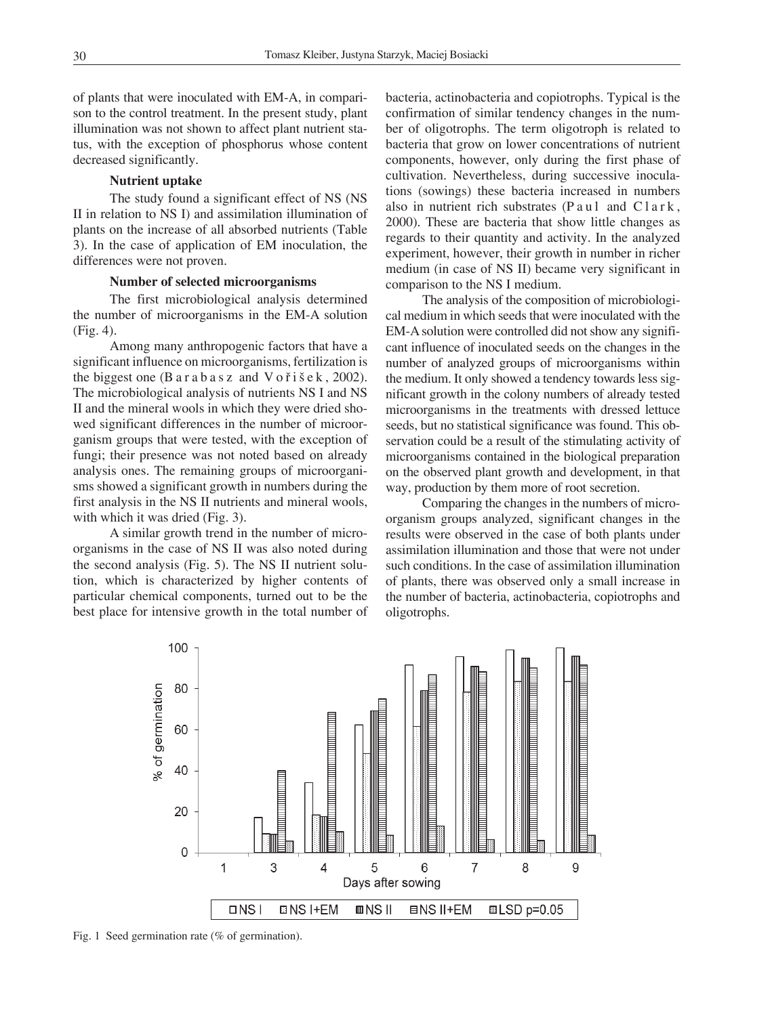of plants that were inoculated with EM-A, in comparison to the control treatment. In the present study, plant illumination was not shown to affect plant nutrient status, with the exception of phosphorus whose content decreased significantly.

#### **Nutrient uptake**

The study found a significant effect of NS (NS II in relation to NS I) and assimilation illumination of plants on the increase of all absorbed nutrients (Table 3). In the case of application of EM inoculation, the differences were not proven.

### **Number of selected microorganisms**

The first microbiological analysis determined the number of microorganisms in the EM-A solution (Fig. 4).

Among many anthropogenic factors that have a significant influence on microorganisms, fertilization is the biggest one  $(B \text{ a } r \text{ a } b \text{ a } s \text{ z } \text{ and } V \text{ o } \check{r} \text{ i } \check{s} \text{ e } \check{k}$ , 2002). The microbiological analysis of nutrients NS I and NS II and the mineral wools in which they were dried showed significant differences in the number of microorganism groups that were tested, with the exception of fungi; their presence was not noted based on already analysis ones. The remaining groups of microorganisms showed a significant growth in numbers during the first analysis in the NS II nutrients and mineral wools, with which it was dried (Fig. 3).

A similar growth trend in the number of microorganisms in the case of NS II was also noted during the second analysis (Fig. 5). The NS II nutrient solution, which is characterized by higher contents of particular chemical components, turned out to be the best place for intensive growth in the total number of bacteria, actinobacteria and copiotrophs. Typical is the confirmation of similar tendency changes in the number of oligotrophs. The term oligotroph is related to bacteria that grow on lower concentrations of nutrient components, however, only during the first phase of cultivation. Nevertheless, during successive inoculations (sowings) these bacteria increased in numbers also in nutrient rich substrates  $(P \text{ au } l \text{ and } Cl \text{ ar } k$ , 2000). These are bacteria that show little changes as regards to their quantity and activity. In the analyzed experiment, however, their growth in number in richer medium (in case of NS II) became very significant in comparison to the NS I medium.

The analysis of the composition of microbiological medium in which seeds that were inoculated with the EM-A solution were controlled did not show any significant influence of inoculated seeds on the changes in the number of analyzed groups of microorganisms within the medium. It only showed a tendency towards less significant growth in the colony numbers of already tested microorganisms in the treatments with dressed lettuce seeds, but no statistical significance was found. This observation could be a result of the stimulating activity of microorganisms contained in the biological preparation on the observed plant growth and development, in that way, production by them more of root secretion.

Comparing the changes in the numbers of microorganism groups analyzed, significant changes in the results were observed in the case of both plants under assimilation illumination and those that were not under such conditions. In the case of assimilation illumination of plants, there was observed only a small increase in the number of bacteria, actinobacteria, copiotrophs and oligotrophs.



Fig. 1 Seed germination rate (% of germination).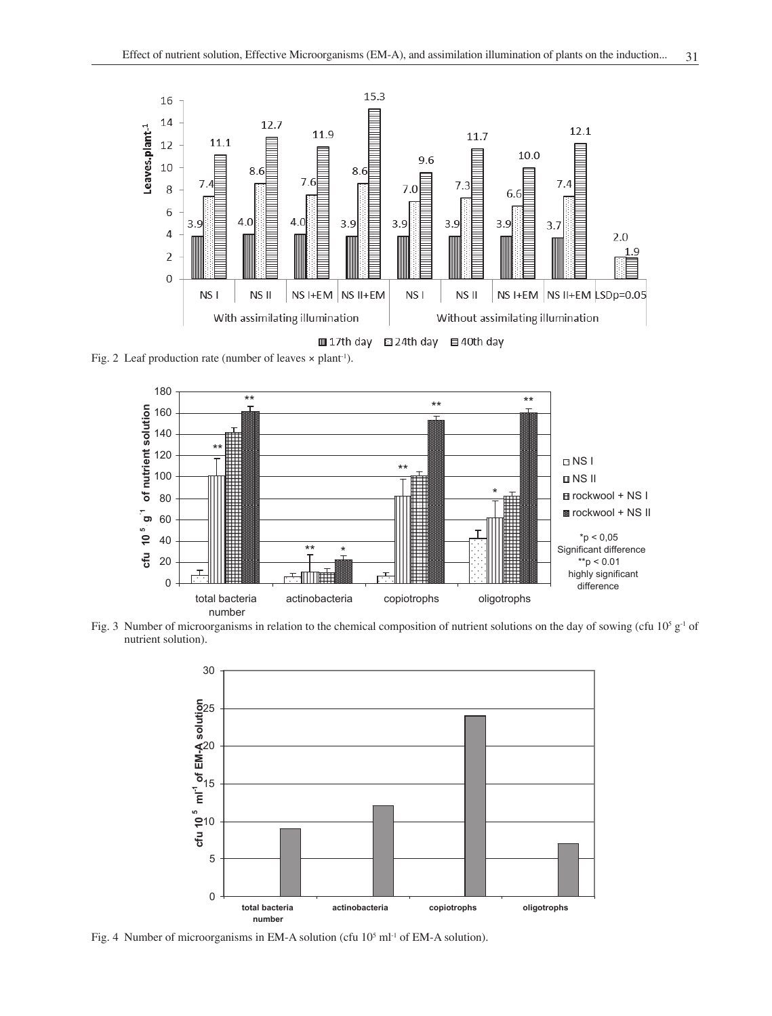

Fig. 2 Leaf production rate (number of leaves  $\times$  plant<sup>-1</sup>).







Fig. 4 Number of microorganisms in EM-A solution (cfu 10<sup>5</sup> ml<sup>-1</sup> of EM-A solution).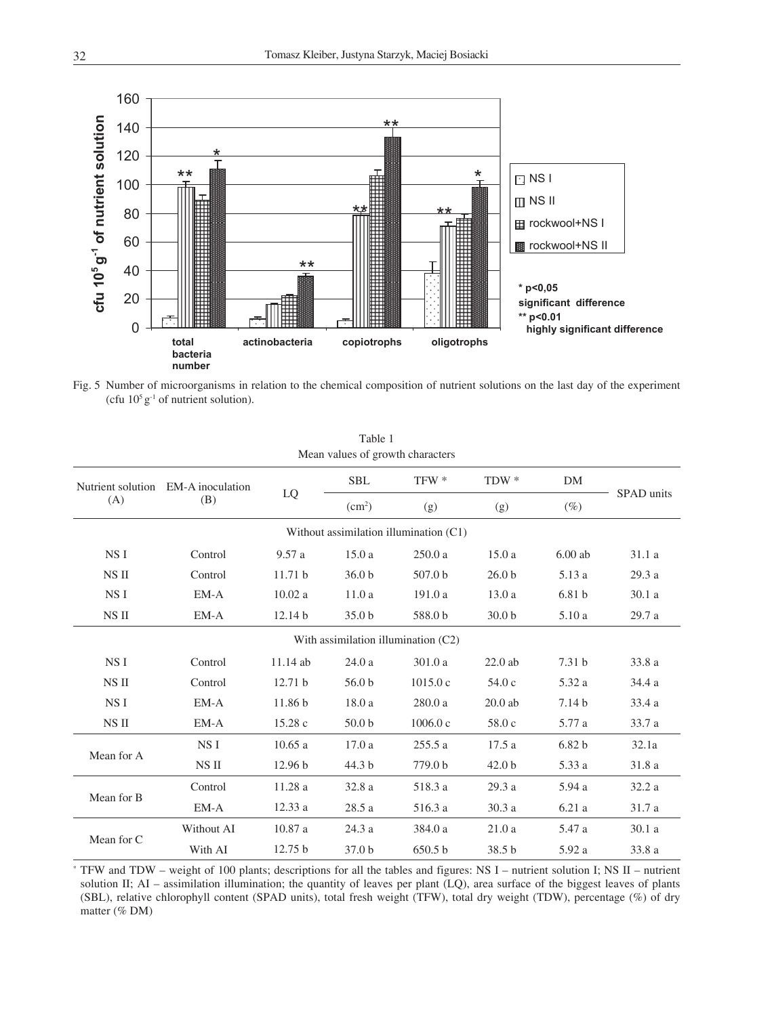

Fig. 5 Number of microorganisms in relation to the chemical composition of nutrient solutions on the last day of the experiment (cfu  $10^5$  g<sup>-1</sup> of nutrient solution).

| Mean values of growth characters |                                           |                    |                    |                                        |                   |                   |            |  |  |
|----------------------------------|-------------------------------------------|--------------------|--------------------|----------------------------------------|-------------------|-------------------|------------|--|--|
| (A)                              | Nutrient solution EM-A inoculation<br>(B) | LQ                 | <b>SBL</b>         | TFW *<br>$TDW*$                        |                   | DM                |            |  |  |
|                                  |                                           |                    | (cm <sup>2</sup> ) | (g)                                    | (g)               | $(\%)$            | SPAD units |  |  |
|                                  |                                           |                    |                    | Without assimilation illumination (C1) |                   |                   |            |  |  |
| NS I                             | Control                                   | 9.57a              | 15.0a              | 250.0a                                 | 15.0a             | $6.00$ ab         | 31.1 a     |  |  |
| NS II                            | Control                                   | 11.71 <sub>b</sub> | 36.0 <sub>b</sub>  | 507.0 <sub>b</sub>                     | 26.0 <sub>b</sub> | 5.13 a            | 29.3a      |  |  |
| NS I                             | EM-A                                      | 10.02a             | 11.0a              | 191.0a                                 | 13.0a             | 6.81 <sub>b</sub> | 30.1a      |  |  |
| NS II                            | $EM-A$                                    | 12.14 b            | 35.0 <sub>b</sub>  | 588.0 b                                | 30.0 <sub>b</sub> | 5.10a             | 29.7a      |  |  |
|                                  |                                           |                    |                    | With assimilation illumination (C2)    |                   |                   |            |  |  |
| NS I                             | Control                                   | $11.14$ ab         | 24.0a              | 301.0a                                 | $22.0$ ab         | 7.31 <sub>b</sub> | 33.8 a     |  |  |
| NS II                            | Control                                   | 12.71 <sub>b</sub> | 56.0 <sub>b</sub>  | 1015.0c                                | 54.0 c            | 5.32 a            | 34.4 a     |  |  |
| NS I                             | $EM-A$                                    | 11.86 <sub>b</sub> | 18.0a              | 280.0a                                 | $20.0$ ab         | 7.14 <sub>b</sub> | 33.4a      |  |  |
| NS II                            | EM-A                                      | 15.28c             | 50.0 <sub>b</sub>  | 1006.0c                                | 58.0c             | 5.77 a            | 33.7 a     |  |  |
| Mean for A                       | NS I                                      | 10.65a             | 17.0a              | 255.5a                                 | 17.5a             | 6.82 <sub>b</sub> | 32.1a      |  |  |
|                                  | NS II                                     | 12.96 <sub>b</sub> | 44.3 <sub>b</sub>  | 779.0 <sub>b</sub>                     | 42.0 <sub>b</sub> | 5.33 a            | 31.8 a     |  |  |
| Mean for B                       | Control                                   | 11.28 a            | 32.8a              | 518.3 a                                | 29.3a             | 5.94 a            | 32.2a      |  |  |
|                                  | EM-A                                      | 12.33a             | 28.5 a             | 516.3 a                                | 30.3a             | 6.21a             | 31.7 a     |  |  |
| Mean for C                       | Without AI                                | 10.87 a            | 24.3 a             | 384.0 a                                | 21.0a             | 5.47 a            | 30.1a      |  |  |
|                                  | With AI                                   | 12.75 <sub>b</sub> | 37.0 <sub>b</sub>  | 650.5 <sub>b</sub>                     | 38.5 b            | 5.92 a            | 33.8 a     |  |  |

Table 1 Mean values of growth characters

\* TFW and TDW – weight of 100 plants; descriptions for all the tables and figures: NS I – nutrient solution I; NS II – nutrient solution II; AI – assimilation illumination; the quantity of leaves per plant (LQ), area surface of the biggest leaves of plants (SBL), relative chlorophyll content (SPAD units), total fresh weight (TFW), total dry weight (TDW), percentage (%) of dry matter (% DM)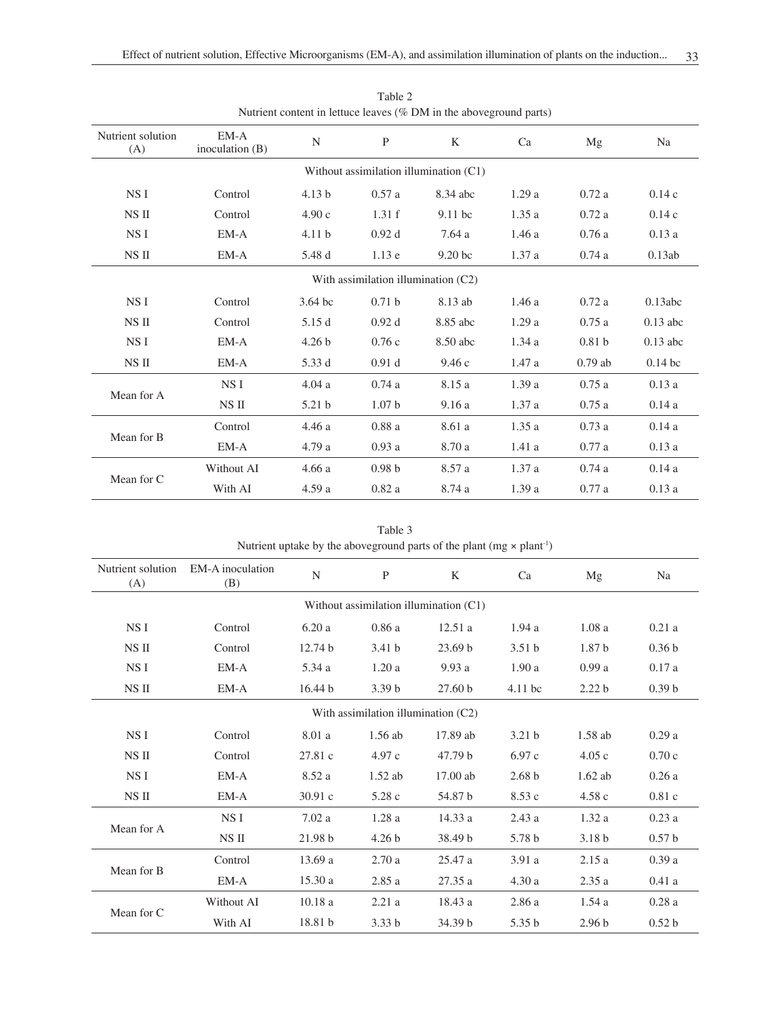| Therefore community in former reaves (70 DTM in the above ground parts) |                             |                   |                   |                    |       |                   |            |  |  |
|-------------------------------------------------------------------------|-----------------------------|-------------------|-------------------|--------------------|-------|-------------------|------------|--|--|
| Nutrient solution<br>(A)                                                | $EM-A$<br>inoculation $(B)$ | N                 | P                 | K                  | Ca    | Mg                | Na         |  |  |
| Without assimilation illumination (C1)                                  |                             |                   |                   |                    |       |                   |            |  |  |
| NS I                                                                    | Control                     | 4.13 <sub>b</sub> | 0.57a             | 8.34 abc           | 1.29a | 0.72a             | 0.14c      |  |  |
| NS II                                                                   | Control                     | 4.90c             | 1.31 f            | $9.11$ bc          | 1.35a | 0.72a             | 0.14c      |  |  |
| NSI                                                                     | EM-A                        | 4.11 <sub>b</sub> | 0.92d             | 7.64a              | 1.46a | 0.76a             | 0.13a      |  |  |
| NS II                                                                   | EM-A                        | 5.48 d            | 1.13e             | 9.20 <sub>bc</sub> | 1.37a | 0.74a             | 0.13ab     |  |  |
| With assimilation illumination (C2)                                     |                             |                   |                   |                    |       |                   |            |  |  |
| NS I                                                                    | Control                     | 3.64 bc           | 0.71 <sub>b</sub> | 8.13 ab            | 1.46a | 0.72a             | 0.13abc    |  |  |
| NS II                                                                   | Control                     | 5.15 d            | 0.92d             | 8.85 abc           | 1.29a | 0.75a             | $0.13$ abc |  |  |
| NS I                                                                    | $EM-A$                      | 4.26 <sub>b</sub> | 0.76c             | 8.50 abc           | 1.34a | 0.81 <sub>b</sub> | $0.13$ abc |  |  |
| NS II                                                                   | EM-A                        | 5.33 d            | 0.91 <sub>d</sub> | 9.46c              | 1.47a | $0.79$ ab         | $0.14$ bc  |  |  |
| Mean for A                                                              | NS I                        | 4.04a             | 0.74a             | 8.15 a             | 1.39a | 0.75a             | 0.13a      |  |  |
|                                                                         | NS II                       | 5.21 <sub>b</sub> | 1.07 <sub>b</sub> | 9.16a              | 1.37a | 0.75a             | 0.14a      |  |  |
| Mean for B                                                              | Control                     | 4.46 a            | 0.88a             | 8.61 a             | 1.35a | 0.73a             | 0.14a      |  |  |
|                                                                         | $EM-A$                      | 4.79 a            | 0.93a             | 8.70 a             | 1.41a | 0.77a             | 0.13a      |  |  |
|                                                                         | Without AI                  | 4.66a             | 0.98 <sub>b</sub> | 8.57 a             | 1.37a | 0.74a             | 0.14a      |  |  |
| Mean for C                                                              | With AI                     | 4.59a             | 0.82a             | 8.74 a             | 1.39a | 0.77a             | 0.13a      |  |  |

Table 2 Nutrient content in lettuce leaves (% DM in the aboveground parts)

Table 3 Nutrient uptake by the aboveground parts of the plant  $(mg \times plant^{-1})$ 

| Nutrient solution<br>(A)               | EM-A inoculation<br>(B) | N                  | P                 | K                  | Ca                | Mg                | Na                |  |
|----------------------------------------|-------------------------|--------------------|-------------------|--------------------|-------------------|-------------------|-------------------|--|
| Without assimilation illumination (C1) |                         |                    |                   |                    |                   |                   |                   |  |
| NS I                                   | Control                 | 6.20a              | 0.86a             | 12.51a             | 1.94a             | 1.08a             | 0.21a             |  |
| NS II                                  | Control                 | 12.74 <sub>b</sub> | 3.41 <sub>b</sub> | 23.69 <sub>b</sub> | 3.51 <sub>b</sub> | 1.87 <sub>b</sub> | 0.36 <sub>b</sub> |  |
| NS I                                   | EM-A                    | 5.34 a             | 1.20a             | 9.93a              | 1.90a             | 0.99a             | 0.17a             |  |
| NS II                                  | EM-A                    | 16.44 b            | 3.39 <sub>b</sub> | 27.60 <sub>b</sub> | $4.11$ bc         | 2.22 <sub>b</sub> | 0.39 <sub>b</sub> |  |
| With assimilation illumination (C2)    |                         |                    |                   |                    |                   |                   |                   |  |
| NS I                                   | Control                 | 8.01 a             | $1.56$ ab         | 17.89 ab           | 3.21 <sub>b</sub> | 1.58 ab           | 0.29a             |  |
| NS II                                  | Control                 | 27.81c             | 4.97c             | 47.79 b            | 6.97c             | 4.05c             | 0.70c             |  |
| NS I                                   | EM-A                    | 8.52a              | $1.52$ ab         | $17.00$ ab         | 2.68 <sub>b</sub> | $1.62$ ab         | 0.26a             |  |
| NS II                                  | EM-A                    | 30.91c             | 5.28c             | 54.87 b            | 8.53c             | 4.58c             | 0.81c             |  |
| Mean for A                             | NS I                    | 7.02a              | 1.28a             | 14.33 a            | 2.43a             | 1.32a             | 0.23a             |  |
|                                        | NS II                   | 21.98 b            | 4.26 <sub>b</sub> | 38.49 b            | 5.78 b            | 3.18 <sub>b</sub> | 0.57 <sub>b</sub> |  |
| Mean for B                             | Control                 | 13.69a             | 2.70a             | 25.47 a            | 3.91a             | 2.15a             | 0.39a             |  |
|                                        | $EM-A$                  | 15.30a             | 2.85a             | 27.35 a            | 4.30a             | 2.35a             | 0.41a             |  |
| Mean for C                             | Without AI              | 10.18a             | 2.21a             | 18.43 a            | 2.86a             | 1.54a             | 0.28a             |  |
|                                        | With AI                 | 18.81 <sub>b</sub> | 3.33 <sub>b</sub> | 34.39 b            | 5.35 <sub>b</sub> | 2.96 <sub>b</sub> | 0.52 <sub>b</sub> |  |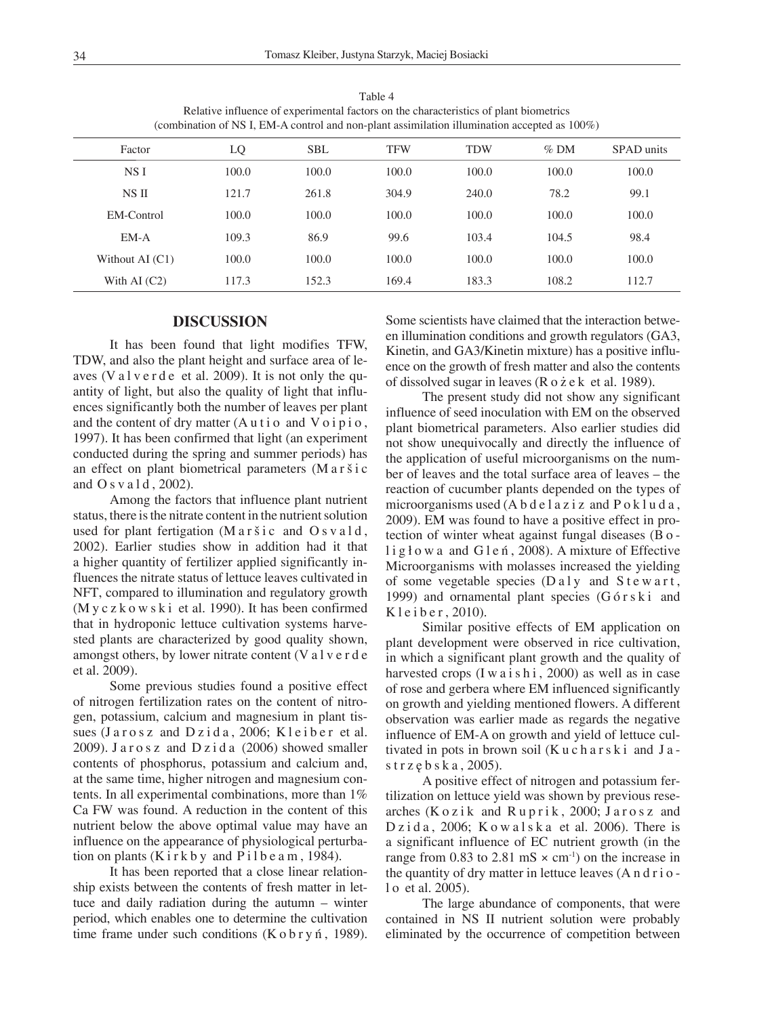Table 4 Relative influence of experimental factors on the characteristics of plant biometrics (combination of NS I, EM-A control and non-plant assimilation illumination accepted as 100%)

| Factor            | LQ    | <b>SBL</b> | <b>TFW</b> | <b>TDW</b> | $%$ DM | SPAD units |
|-------------------|-------|------------|------------|------------|--------|------------|
| NS I              | 100.0 | 100.0      | 100.0      | 100.0      | 100.0  | 100.0      |
| NS II             | 121.7 | 261.8      | 304.9      | 240.0      | 78.2   | 99.1       |
| EM-Control        | 100.0 | 100.0      | 100.0      | 100.0      | 100.0  | 100.0      |
| $EM-A$            | 109.3 | 86.9       | 99.6       | 103.4      | 104.5  | 98.4       |
| Without AI $(C1)$ | 100.0 | 100.0      | 100.0      | 100.0      | 100.0  | 100.0      |
| With AI $(C2)$    | 117.3 | 152.3      | 169.4      | 183.3      | 108.2  | 112.7      |

### **DISCUSSION**

It has been found that light modifies TFW, TDW, and also the plant height and surface area of leaves (V a  $l$  v e r d e et al. 2009). It is not only the quantity of light, but also the quality of light that influences significantly both the number of leaves per plant and the content of dry matter  $(A \cup i \circ \text{ and } V \circ i \circ i \circ \text{).}$ 1997). It has been confirmed that light (an experiment conducted during the spring and summer periods) has an effect on plant biometrical parameters (M a r š i c and  $O s v a 1 d$ , 2002).

Among the factors that influence plant nutrient status, there is the nitrate content in the nutrient solution used for plant fertigation  $(Maršic and Osvald,$ 2002). Earlier studies show in addition had it that a higher quantity of fertilizer applied significantly influences the nitrate status of lettuce leaves cultivated in NFT, compared to illumination and regulatory growth (M y c  $z \times w \times k$  i et al. 1990). It has been confirmed that in hydroponic lettuce cultivation systems harvested plants are characterized by good quality shown, amongst others, by lower nitrate content (V a l v e r d e et al. 2009).

Some previous studies found a positive effect of nitrogen fertilization rates on the content of nitrogen, potassium, calcium and magnesium in plant tissues (Jarosz and Dzida, 2006; Kleiber et al. 2009). Jarosz and Dzida (2006) showed smaller contents of phosphorus, potassium and calcium and, at the same time, higher nitrogen and magnesium contents. In all experimental combinations, more than 1% Ca FW was found. A reduction in the content of this nutrient below the above optimal value may have an influence on the appearance of physiological perturbation on plants  $(Kirkby$  and  $Pilbea m$ , 1984).

It has been reported that a close linear relationship exists between the contents of fresh matter in lettuce and daily radiation during the autumn – winter period, which enables one to determine the cultivation time frame under such conditions  $(K \circ b \r{r} y \n{n})$ , 1989). Some scientists have claimed that the interaction between illumination conditions and growth regulators (GA3, Kinetin, and GA3/Kinetin mixture) has a positive influence on the growth of fresh matter and also the contents of dissolved sugar in leaves (R o ż e k et al. 1989).

The present study did not show any significant influence of seed inoculation with EM on the observed plant biometrical parameters. Also earlier studies did not show unequivocally and directly the influence of the application of useful microorganisms on the number of leaves and the total surface area of leaves – the reaction of cucumber plants depended on the types of microorganisms used  $(A b d e l a z i z and P o k l u d a$ , 2009). EM was found to have a positive effect in protection of winter wheat against fungal diseases (B o lig ł owa and G l e ń, 2008). A mixture of Effective Microorganisms with molasses increased the yielding of some vegetable species  $(Da1y)$  and  $Stewart$ , 1999) and ornamental plant species (Górski and K l e i b e r, 2010).

Similar positive effects of EM application on plant development were observed in rice cultivation, in which a significant plant growth and the quality of harvested crops  $(I w a i s h i, 2000)$  as well as in case of rose and gerbera where EM influenced significantly on growth and yielding mentioned flowers. A different observation was earlier made as regards the negative influence of EM-A on growth and yield of lettuce cultivated in pots in brown soil (Kucharski and J a strz ę b s k a , 2005).

A positive effect of nitrogen and potassium fertilization on lettuce yield was shown by previous researches ( $Kozik$  and  $Ruprik$ , 2000; Jarosz and D z i d a,  $2006$ ; K o w a l s k a et al.  $2006$ ). There is a significant influence of EC nutrient growth (in the range from 0.83 to 2.81 mS  $\times$  cm<sup>-1</sup>) on the increase in the quantity of dry matter in lettuce leaves  $(A \cap d \cap i)$ l o et al. 2005).

The large abundance of components, that were contained in NS II nutrient solution were probably eliminated by the occurrence of competition between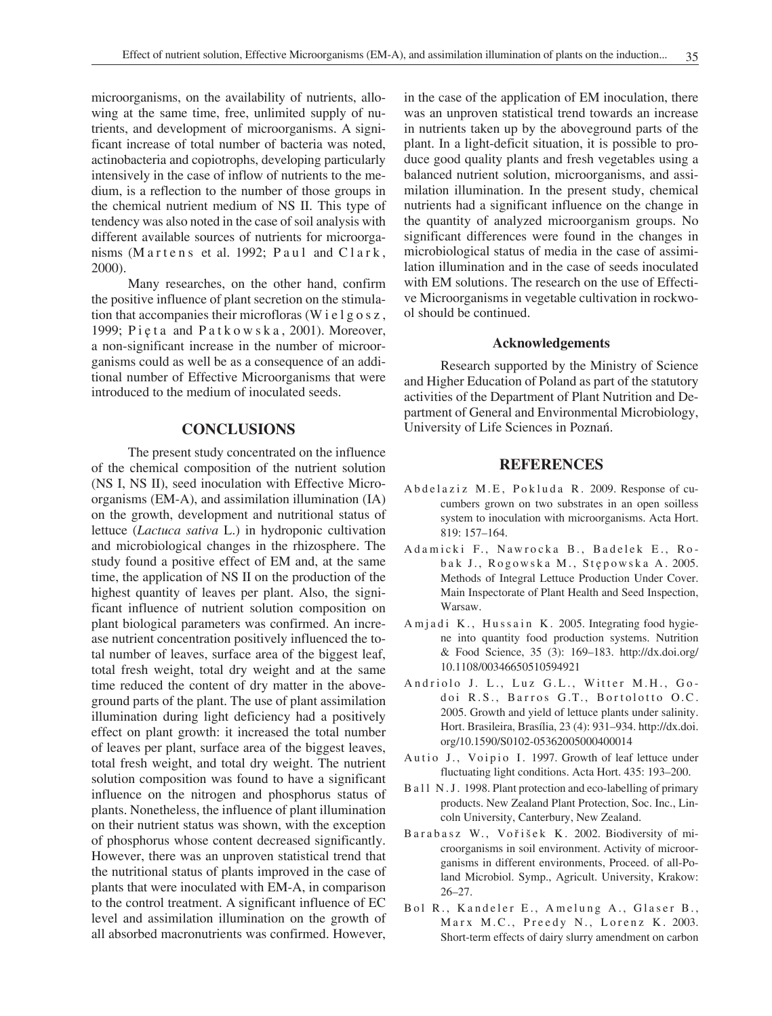microorganisms, on the availability of nutrients, allowing at the same time, free, unlimited supply of nutrients, and development of microorganisms. A significant increase of total number of bacteria was noted, actinobacteria and copiotrophs, developing particularly intensively in the case of inflow of nutrients to the medium, is a reflection to the number of those groups in the chemical nutrient medium of NS II. This type of tendency was also noted in the case of soil analysis with different available sources of nutrients for microorganisms (Martens et al. 1992; Paul and Clark, 2000).

Many researches, on the other hand, confirm the positive influence of plant secretion on the stimulation that accompanies their microfloras (W i e l g  $\alpha$  s z, 1999; Pięta and Patkowska, 2001). Moreover, a non-significant increase in the number of microorganisms could as well be as a consequence of an additional number of Effective Microorganisms that were introduced to the medium of inoculated seeds.

# **CONCLUSIONS**

The present study concentrated on the influence of the chemical composition of the nutrient solution (NS I, NS II), seed inoculation with Effective Microorganisms (EM-A), and assimilation illumination (IA) on the growth, development and nutritional status of lettuce (*Lactuca sativa* L.) in hydroponic cultivation and microbiological changes in the rhizosphere. The study found a positive effect of EM and, at the same time, the application of NS II on the production of the highest quantity of leaves per plant. Also, the significant influence of nutrient solution composition on plant biological parameters was confirmed. An increase nutrient concentration positively influenced the total number of leaves, surface area of the biggest leaf, total fresh weight, total dry weight and at the same time reduced the content of dry matter in the aboveground parts of the plant. The use of plant assimilation illumination during light deficiency had a positively effect on plant growth: it increased the total number of leaves per plant, surface area of the biggest leaves, total fresh weight, and total dry weight. The nutrient solution composition was found to have a significant influence on the nitrogen and phosphorus status of plants. Nonetheless, the influence of plant illumination on their nutrient status was shown, with the exception of phosphorus whose content decreased significantly. However, there was an unproven statistical trend that the nutritional status of plants improved in the case of plants that were inoculated with EM-A, in comparison to the control treatment. A significant influence of EC level and assimilation illumination on the growth of all absorbed macronutrients was confirmed. However,

in the case of the application of EM inoculation, there was an unproven statistical trend towards an increase in nutrients taken up by the aboveground parts of the plant. In a light-deficit situation, it is possible to produce good quality plants and fresh vegetables using a balanced nutrient solution, microorganisms, and assimilation illumination. In the present study, chemical nutrients had a significant influence on the change in the quantity of analyzed microorganism groups. No significant differences were found in the changes in microbiological status of media in the case of assimilation illumination and in the case of seeds inoculated with EM solutions. The research on the use of Effective Microorganisms in vegetable cultivation in rockwool should be continued.

#### **Acknowledgements**

Research supported by the Ministry of Science and Higher Education of Poland as part of the statutory activities of the Department of Plant Nutrition and Department of General and Environmental Microbiology, University of Life Sciences in Poznań.

# **REFERENCES**

- Abdelaziz M.E, Pokluda R. 2009. Response of cucumbers grown on two substrates in an open soilless system to inoculation with microorganisms. Acta Hort. 819: 157–164.
- Adamicki F., Nawrocka B., Badelek E., Robak J., Rogowska M., Stępowska A. 2005. Methods of Integral Lettuce Production Under Cover. Main Inspectorate of Plant Health and Seed Inspection, Warsaw.
- A m j a d i K., Hussain K. 2005. Integrating food hygiene into quantity food production systems. Nutrition & Food Science, 35 (3): 169–183. http://dx.doi.org/ 10.1108/00346650510594921
- Andriolo J. L., Luz G.L., Witter M.H., Godoi R.S., Barros G.T., Bortolotto O.C. 2005. Growth and yield of lettuce plants under salinity. Hort. Brasileira, Brasília, 23 (4): 931–934. http://dx.doi. org/10.1590/S0102-05362005000400014
- Autio J., Voipio I. 1997. Growth of leaf lettuce under fluctuating light conditions. Acta Hort. 435: 193–200.
- B a l l N . J . 1998. Plant protection and eco-labelling of primary products. New Zealand Plant Protection, Soc. Inc., Lincoln University, Canterbury, New Zealand.
- Barabasz W., Vořišek K. 2002. Biodiversity of microorganisms in soil environment. Activity of microorganisms in different environments, Proceed. of all-Poland Microbiol. Symp., Agricult. University, Krakow: 26–27.
- Bol R., Kandeler E., Amelung A., Glaser B., Marx M.C., Preedy N., Lorenz K. 2003. Short-term effects of dairy slurry amendment on carbon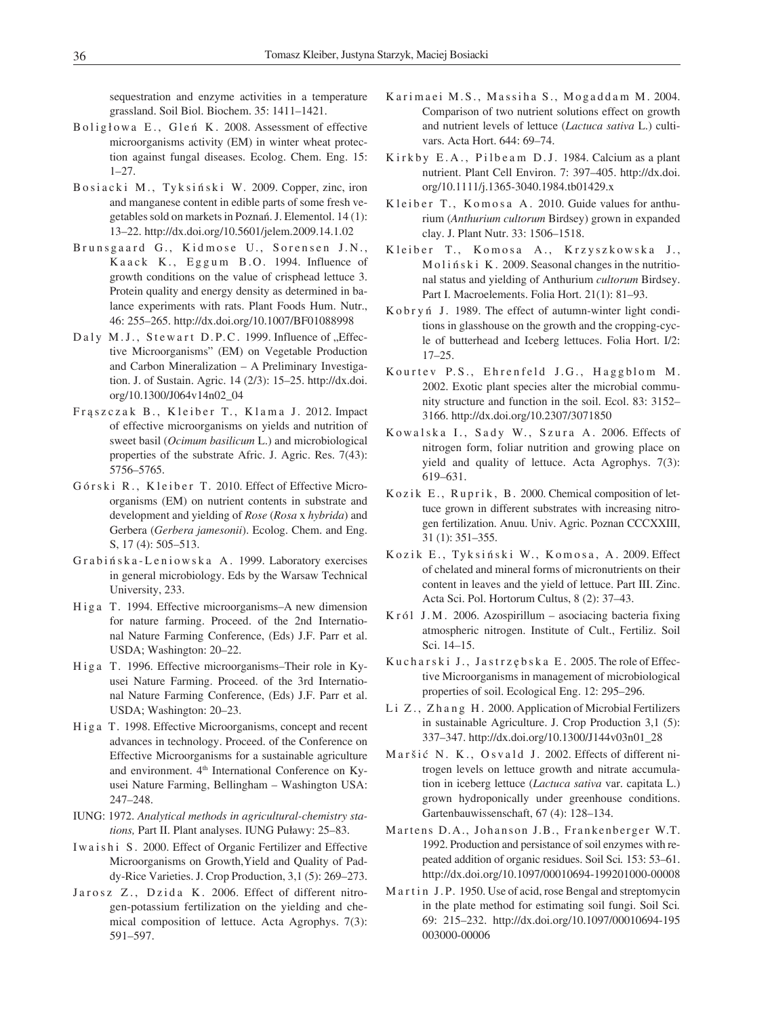sequestration and enzyme activities in a temperature grassland. Soil Biol. Biochem. 35: 1411–1421.

- Boligłowa E., Gleń K. 2008. Assessment of effective microorganisms activity (EM) in winter wheat protection against fungal diseases. Ecolog. Chem. Eng. 15: 1–27.
- Bosiacki M., Tyksiński W. 2009. Copper, zinc, iron and manganese content in edible parts of some fresh vegetables sold on markets in Poznań. J. Elementol. 14 (1): 13–22. http://dx.doi.org/10.5601/jelem.2009.14.1.02
- Brunsgaard G., Kidmose U., Sorensen J.N., Kaack K., Eggum B.O. 1994. Influence of growth conditions on the value of crisphead lettuce 3. Protein quality and energy density as determined in balance experiments with rats. Plant Foods Hum. Nutr., 46: 255–265. http://dx.doi.org/10.1007/BF01088998
- Daly M.J., Stewart D.P.C. 1999. Influence of "Effective Microorganisms" (EM) on Vegetable Production and Carbon Mineralization – A Preliminary Investigation. J. of Sustain. Agric. 14 (2/3): 15–25. http://dx.doi. org/10.1300/J064v14n02\_04
- Fraszczak B., Kleiber T., Klama J. 2012. Impact of effective microorganisms on yields and nutrition of sweet basil (*Ocimum basilicum* L.) and microbiological properties of the substrate Afric. J. Agric. Res. 7(43): 5756–5765.
- Górski R., Kleiber T. 2010. Effect of Effective Microorganisms (EM) on nutrient contents in substrate and development and yielding of *Rose* (*Rosa* x *hybrida*) and Gerbera (*Gerbera jamesonii*). Ecolog. Chem. and Eng. S, 17 (4): 505–513.
- Grabińska-Leniowska A. 1999. Laboratory exercises in general microbiology. Eds by the Warsaw Technical University, 233.
- Higa T. 1994. Effective microorganisms–A new dimension for nature farming. Proceed. of the 2nd International Nature Farming Conference, (Eds) J.F. Parr et al. USDA; Washington: 20–22.
- Higa T. 1996. Effective microorganisms–Their role in Kyusei Nature Farming. Proceed. of the 3rd International Nature Farming Conference, (Eds) J.F. Parr et al. USDA; Washington: 20–23.
- Higa T. 1998. Effective Microorganisms, concept and recent advances in technology. Proceed. of the Conference on Effective Microorganisms for a sustainable agriculture and environment. 4<sup>th</sup> International Conference on Kyusei Nature Farming, Bellingham – Washington USA: 247–248.
- IUNG: 1972. *Analytical methods in agricultural-chemistry stations,* Part II. Plant analyses. IUNG Puławy: 25–83.
- I waishi S. 2000. Effect of Organic Fertilizer and Effective Microorganisms on Growth,Yield and Quality of Paddy-Rice Varieties. J. Crop Production, 3,1 (5): 269–273.
- Jarosz Z., Dzida K. 2006. Effect of different nitrogen-potassium fertilization on the yielding and chemical composition of lettuce. Acta Agrophys. 7(3): 591–597.
- Karimaei M.S., Massiha S., Mogaddam M. 2004. Comparison of two nutrient solutions effect on growth and nutrient levels of lettuce (*Lactuca sativa* L.) cultivars. Acta Hort. 644: 69–74.
- Kirkby E.A., Pilbeam D.J. 1984. Calcium as a plant nutrient. Plant Cell Environ. 7: 397–405. http://dx.doi. org/10.1111/j.1365-3040.1984.tb01429.x
- Kleiber T., Komosa A. 2010. Guide values for anthurium (*Anthurium cultorum* Birdsey) grown in expanded clay. J. Plant Nutr. 33: 1506–1518.
- Kleiber T., Komosa A., Krzyszkowska J., Moliński K. 2009. Seasonal changes in the nutritional status and yielding of Anthurium *cultorum* Birdsey. Part I. Macroelements. Folia Hort. 21(1): 81–93.
- Kobryń J. 1989. The effect of autumn-winter light conditions in glasshouse on the growth and the cropping-cycle of butterhead and Iceberg lettuces. Folia Hort. I/2: 17–25.
- Kourtev P.S., Ehrenfeld J.G., Haggblom M. 2002. Exotic plant species alter the microbial community structure and function in the soil. Ecol. 83: 3152– 3166. http://dx.doi.org/10.2307/3071850
- Kowalska I., Sady W., Szura A. 2006. Effects of nitrogen form, foliar nutrition and growing place on yield and quality of lettuce. Acta Agrophys. 7(3): 619–631.
- Kozik E., Ruprik, B. 2000. Chemical composition of lettuce grown in different substrates with increasing nitrogen fertilization. Anuu. Univ. Agric. Poznan CCCXXIII, 31 (1): 351–355.
- Kozik E., Tyksiński W., Komosa, A. 2009. Effect of chelated and mineral forms of micronutrients on their content in leaves and the yield of lettuce. Part III. Zinc. Acta Sci. Pol. Hortorum Cultus, 8 (2): 37–43.
- $K r 61$  J.M. 2006. Azospirillum asociacing bacteria fixing atmospheric nitrogen. Institute of Cult., Fertiliz. Soil Sci. 14–15.
- Kucharski J., Jastrzębska E. 2005. The role of Effective Microorganisms in management of microbiological properties of soil. Ecological Eng. 12: 295–296.
- Li Z., Zhang H. 2000. Application of Microbial Fertilizers in sustainable Agriculture. J. Crop Production 3,1 (5): 337–347. http://dx.doi.org/10.1300/J144v03n01\_28
- Maršić N. K., Osvald J. 2002. Effects of different nitrogen levels on lettuce growth and nitrate accumulation in iceberg lettuce (*Lactuca sativa* var. capitata L.) grown hydroponically under greenhouse conditions. Gartenbauwissenschaft, 67 (4): 128–134.
- Martens D.A., Johanson J.B., Frankenberger W.T. 1992. Production and persistance of soil enzymes with repeated addition of organic residues. Soil Sci*.* 153: 53–61. http://dx.doi.org/10.1097/00010694-199201000-00008
- Martin J.P. 1950. Use of acid, rose Bengal and streptomycin in the plate method for estimating soil fungi. Soil Sci*.*  69: 215–232. http://dx.doi.org/10.1097/00010694-195 003000-00006